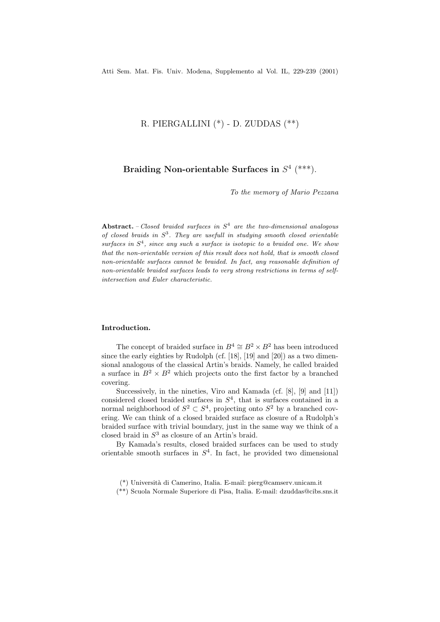# R. PIERGALLINI (\*) - D. ZUDDAS (\*\*)

# **Braiding Non-orientable Surfaces in**  $S^4$  (\*\*\*).

*To the memory of Mario Pezzana*

**Abstract.** *– Closed braided surfaces in S*<sup>4</sup> *are the two-dimensional analogous of closed braids in S*<sup>3</sup>*. They are usefull in studying smooth closed orientable surfaces in S*<sup>4</sup>*, since any such a surface is isotopic to a braided one. We show that the non-orientable version of this result does not hold, that is smooth closed non-orientable surfaces cannot be braided. In fact, any reasonable definition of non-orientable braided surfaces leads to very strong restrictions in terms of selfintersection and Euler characteristic.*

# **Introduction.**

The concept of braided surface in  $B^4 \cong B^2 \times B^2$  has been introduced since the early eighties by Rudolph (cf. [18], [19] and [20]) as a two dimensional analogous of the classical Artin's braids. Namely, he called braided a surface in  $B^2 \times B^2$  which projects onto the first factor by a branched covering.

Successively, in the nineties, Viro and Kamada (cf. [8], [9] and [11]) considered closed braided surfaces in  $S<sup>4</sup>$ , that is surfaces contained in a normal neighborhood of  $S^2 \subset S^4$ , projecting onto  $S^2$  by a branched covering. We can think of a closed braided surface as closure of a Rudolph's braided surface with trivial boundary, just in the same way we think of a closed braid in  $S<sup>3</sup>$  as closure of an Artin's braid.

By Kamada's results, closed braided surfaces can be used to study orientable smooth surfaces in  $S<sup>4</sup>$ . In fact, he provided two dimensional

- \*(\*) Universit`a di Camerino, Italia. E-mail: pierg@camserv.unicam.it
- (\*\*) Scuola Normale Superiore di Pisa, Italia. E-mail: dzuddas@cibs.sns.it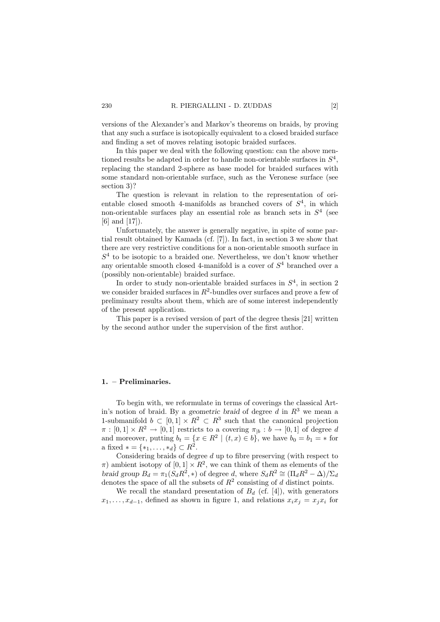versions of the Alexander's and Markov's theorems on braids, by proving that any such a surface is isotopically equivalent to a closed braided surface and finding a set of moves relating isotopic braided surfaces.

In this paper we deal with the following question: can the above mentioned results be adapted in order to handle non-orientable surfaces in  $S<sup>4</sup>$ , replacing the standard 2-sphere as base model for braided surfaces with some standard non-orientable surface, such as the Veronese surface (see section 3)?

The question is relevant in relation to the representation of orientable closed smooth 4-manifolds as branched covers of  $S<sup>4</sup>$ , in which non-orientable surfaces play an essential role as branch sets in  $S<sup>4</sup>$  (see [6] and [17]).

Unfortunately, the answer is generally negative, in spite of some partial result obtained by Kamada (cf. [7]). In fact, in section 3 we show that there are very restrictive conditions for a non-orientable smooth surface in  $S<sup>4</sup>$  to be isotopic to a braided one. Nevertheless, we don't know whether any orientable smooth closed 4-manifold is a cover of  $S<sup>4</sup>$  branched over a (possibly non-orientable) braided surface.

In order to study non-orientable braided surfaces in  $S<sup>4</sup>$ , in section 2 we consider braided surfaces in  $R^2$ -bundles over surfaces and prove a few of preliminary results about them, which are of some interest independently of the present application.

This paper is a revised version of part of the degree thesis [21] written by the second author under the supervision of the first author.

### **1. – Preliminaries.**

To begin with, we reformulate in terms of coverings the classical Artin's notion of braid. By a geometric braid of degree d in  $R<sup>3</sup>$  we mean a 1-submanifold  $b \subset [0, 1] \times \mathbb{R}^2 \subset \mathbb{R}^3$  such that the canonical projection  $\pi : [0,1] \times R^2 \to [0,1]$  restricts to a covering  $\pi_{\vert b} : b \to [0,1]$  of degree d and moreover, putting  $b_t = \{x \in \mathbb{R}^2 \mid (t, x) \in b\}$ , we have  $b_0 = b_1 = *$  for a fixed  $* = \{*_1, \ldots, *_d\} \subset R^2$ .

Considering braids of degree  $d$  up to fibre preserving (with respect to  $\pi$ ) ambient isotopy of  $[0, 1] \times \mathbb{R}^2$ , we can think of them as elements of the braid group  $B_d = \pi_1(S_d R^2, *)$  of degree d, where  $S_d R^2 \cong (\Pi_d R^2 - \Delta)/\Sigma_d$ denotes the space of all the subsets of  $R^2$  consisting of d distinct points.

We recall the standard presentation of  $B_d$  (cf. [4]), with generators  $x_1, \ldots, x_{d-1}$ , defined as shown in figure 1, and relations  $x_i x_j = x_j x_i$  for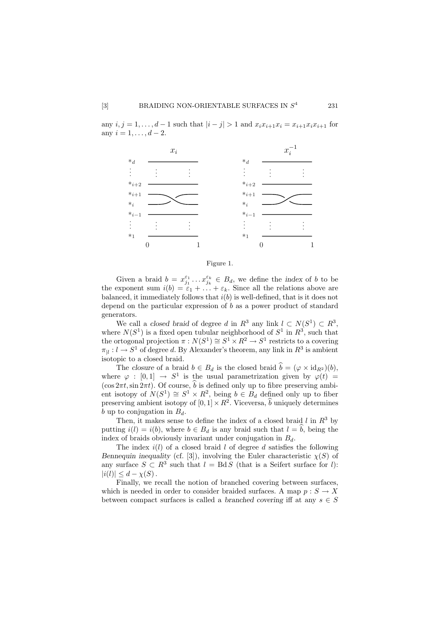any  $i, j = 1, ..., d - 1$  such that  $|i - j| > 1$  and  $x_i x_{i+1} x_i = x_{i+1} x_i x_{i+1}$  for any  $i = 1, ..., d - 2$ .



Figure 1.

Given a braid  $b = x_{j_1}^{\varepsilon_1} \dots x_{j_k}^{\varepsilon_k} \in B_d$ , we define the *index* of b to be the exponent sum  $i(b) = \varepsilon_1 + \ldots + \varepsilon_k$ . Since all the relations above are balanced, it immediately follows that  $i(b)$  is well-defined, that is it does not depend on the particular expression of  $b$  as a power product of standard generators.

We call a closed braid of degree d in  $R^3$  any link  $l \subset N(S^1) \subset R^3$ , where  $N(S^1)$  is a fixed open tubular neighborhood of  $S^1$  in  $R^3$ , such that the ortogonal projection  $\pi : N(S^1) \cong S^1 \times R^2 \to S^1$  restricts to a covering  $\pi_{\parallel}: l \to S^1$  of degree d. By Alexander's theorem, any link in  $R^3$  is ambient isotopic to a closed braid.

The closure of a braid  $b \in B_d$  is the closed braid  $\hat{b} = (\varphi \times id_{R^2})(b)$ , where  $\varphi : [0,1] \rightarrow S^1$  is the usual parametrization given by  $\varphi(t) =$  $(\cos 2\pi t, \sin 2\pi t)$ . Of course,  $\hat{b}$  is defined only up to fibre preserving ambient isotopy of  $N(S^1) \cong S^1 \times R^2$ , being  $b \in B_d$  defined only up to fiber preserving ambient isotopy of  $[0, 1] \times R^2$ . Viceversa,  $\hat{b}$  uniquely determines b up to conjugation in  $B_d$ .

Then, it makes sense to define the index of a closed braid  $l$  in  $R^3$  by putting  $i(l) = i(b)$ , where  $b \in B_d$  is any braid such that  $l = \hat{b}$ , being the index of braids obviously invariant under conjugation in  $B_d$ .

The index  $i(l)$  of a closed braid l of degree d satisfies the following Bennequin inequality (cf. [3]), involving the Euler characteristic  $\chi(S)$  of any surface  $S \subset R^3$  such that  $l = BdS$  (that is a Seifert surface for l):  $|i(l)| \leq d - \chi(S)$ .

Finally, we recall the notion of branched covering between surfaces, which is needed in order to consider braided surfaces. A map  $p: S \to X$ between compact surfaces is called a branched covering iff at any  $s \in S$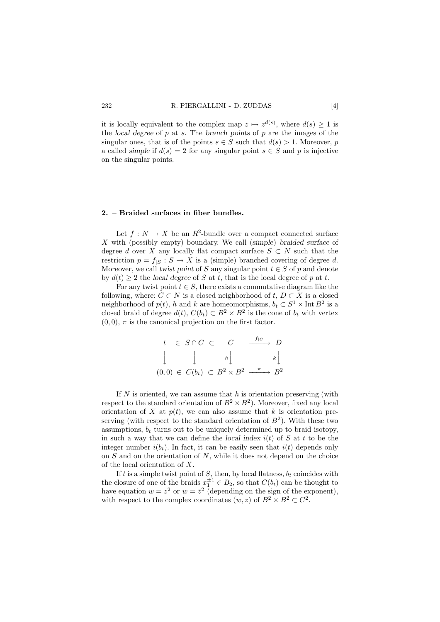it is locally equivalent to the complex map  $z \mapsto z^{d(s)}$ , where  $d(s) \geq 1$  is the local degree of  $p$  at  $s$ . The branch points of  $p$  are the images of the singular ones, that is of the points  $s \in S$  such that  $d(s) > 1$ . Moreover, p a called simple if  $d(s) = 2$  for any singular point  $s \in S$  and p is injective on the singular points.

#### **2. – Braided surfaces in fiber bundles.**

Let  $f: N \to X$  be an  $R^2$ -bundle over a compact connected surface X with (possibly empty) boundary. We call (simple) braided surface of degree d over X any locally flat compact surface  $S \subset N$  such that the restriction  $p = f_{|S} : S \to X$  is a (simple) branched covering of degree d. Moreover, we call twist point of S any singular point  $t \in S$  of p and denote by  $d(t) \geq 2$  the local degree of S at t, that is the local degree of p at t.

For any twist point  $t \in S$ , there exists a commutative diagram like the following, where:  $C \subset N$  is a closed neighborhood of  $t, D \subset X$  is a closed neighborhood of  $p(t)$ , h and k are homeomorphisms,  $b_t \subset S^1 \times \text{Int } B^2$  is a closed braid of degree  $d(t)$ ,  $C(b_t) \subset B^2 \times B^2$  is the cone of  $b_t$  with vertex  $(0, 0)$ ,  $\pi$  is the canonical projection on the first factor.

$$
t \in S \cap C \subset C \xrightarrow{f_{|C}} D
$$
  

$$
\downarrow \qquad \qquad \downarrow \qquad \qquad \downarrow \qquad \qquad k \downarrow
$$
  

$$
(0,0) \in C(b_t) \subset B^2 \times B^2 \xrightarrow{\pi} B^2
$$

If  $N$  is oriented, we can assume that  $h$  is orientation preserving (with respect to the standard orientation of  $B^2 \times B^2$ ). Moreover, fixed any local orientation of X at  $p(t)$ , we can also assume that k is orientation preserving (with respect to the standard orientation of  $B^2$ ). With these two assumptions,  $b_t$  turns out to be uniquely determined up to braid isotopy, in such a way that we can define the local index  $i(t)$  of S at t to be the integer number  $i(b_t)$ . In fact, it can be easily seen that  $i(t)$  depends only on  $S$  and on the orientation of  $N$ , while it does not depend on the choice of the local orientation of X.

If t is a simple twist point of S, then, by local flatness,  $b_t$  coincides with the closure of one of the braids  $x_1^{\pm 1} \in B_2$ , so that  $C(b_t)$  can be thought to have equation  $w = z^2$  or  $w = \overline{z}^2$  (depending on the sign of the exponent), with respect to the complex coordinates  $(w, z)$  of  $B^2 \times B^2 \subset C^2$ .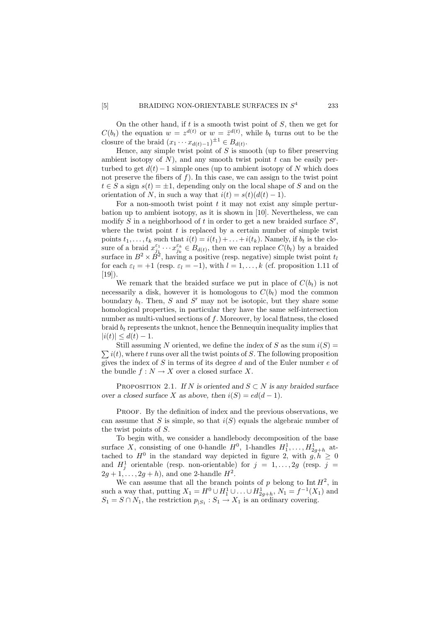On the other hand, if  $t$  is a smooth twist point of  $S$ , then we get for  $C(b_t)$  the equation  $w = z^{d(t)}$  or  $w = \overline{z}^{d(t)}$ , while  $b_t$  turns out to be the closure of the braid  $(x_1 \cdots x_{d(t)-1})^{\pm 1} \in B_{d(t)}$ .

Hence, any simple twist point of  $S$  is smooth (up to fiber preserving ambient isotopy of  $N$ ), and any smooth twist point  $t$  can be easily perturbed to get  $d(t) - 1$  simple ones (up to ambient isotopy of N which does not preserve the fibers of  $f$ ). In this case, we can assign to the twist point  $t \in S$  a sign  $s(t) = \pm 1$ , depending only on the local shape of S and on the orientation of N, in such a way that  $i(t) = s(t)(d(t) - 1)$ .

For a non-smooth twist point  $t$  it may not exist any simple perturbation up to ambient isotopy, as it is shown in [10]. Nevertheless, we can modify S in a neighborhood of t in order to get a new braided surface  $S'$ , where the twist point  $t$  is replaced by a certain number of simple twist points  $t_1, \ldots, t_k$  such that  $i(t) = i(t_1) + \ldots + i(t_k)$ . Namely, if  $b_t$  is the closure of a braid  $x_{j_k}^{\varepsilon_1} \cdots x_{j_k}^{\varepsilon_k} \in B_{d(t)}$ , then we can replace  $C(b_t)$  by a braided surface in  $B^2 \times \check{B}^2$ , having a positive (resp. negative) simple twist point  $t_l$ for each  $\varepsilon_l = +1$  (resp.  $\varepsilon_l = -1$ ), with  $l = 1, \ldots, k$  (cf. proposition 1.11 of  $[19]$ .

We remark that the braided surface we put in place of  $C(b_t)$  is not necessarily a disk, however it is homologous to  $C(b_t)$  mod the common boundary  $b_t$ . Then, S and S' may not be isotopic, but they share some homological properties, in particular they have the same self-intersection number as multi-valued sections of  $f$ . Moreover, by local flatness, the closed braid  $b_t$  represents the unknot, hence the Bennequin inequality implies that  $|i(t)| \leq d(t) - 1.$ 

 $\sum i(t)$ , where t runs over all the twist points of S. The following proposition Still assuming N oriented, we define the index of S as the sum  $i(S)$  = gives the index of S in terms of its degree d and of the Euler number  $e$  of the bundle  $f: N \to X$  over a closed surface X.

PROPOSITION 2.1. If N is oriented and  $S \subset N$  is any braided surface over a closed surface X as above, then  $i(S) = ed(d-1)$ .

PROOF. By the definition of index and the previous observations, we can assume that S is simple, so that  $i(S)$  equals the algebraic number of the twist points of S.

To begin with, we consider a handlebody decomposition of the base surface X, consisting of one 0-handle  $H^0$ , 1-handles  $H_1^1, \ldots, H_{2g+h}^1$  attached to  $H^0$  in the standard way depicted in figure 2, with  $g, h \geq 0$ and  $H_j^1$  orientable (resp. non-orientable) for  $j = 1, ..., 2g$  (resp.  $j =$  $2g+1,\ldots, 2g+h$ , and one 2-handle  $H^2$ .

We can assume that all the branch points of p belong to  $\text{Int } H^2$ , in such a way that, putting  $X_1 = H^0 \cup H_1^1 \cup ... \cup H_{2g+h}^1$ ,  $N_1 = f^{-1}(X_1)$  and  $S_1 = S \cap N_1$ , the restriction  $p_{|S_1} : S_1 \to X_1$  is an ordinary covering.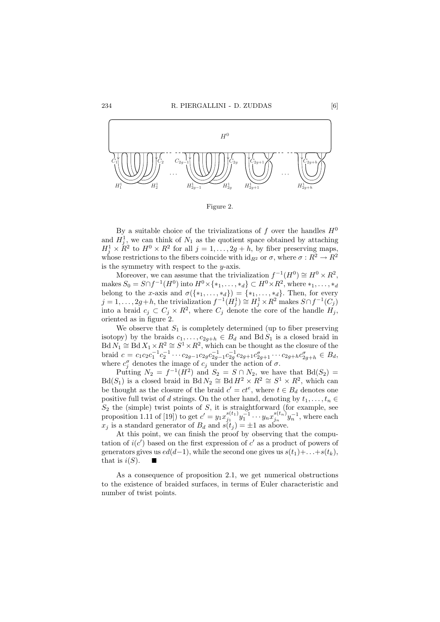

Figure 2.

By a suitable choice of the trivializations of f over the handles  $H^0$ and  $H_j^1$ , we can think of  $N_1$  as the quotient space obtained by attaching  $H_j^1 \times \mathbb{R}^2$  to  $H^0 \times \mathbb{R}^2$  for all  $j = 1, \ldots, 2g + h$ , by fiber preserving maps, whose restrictions to the fibers coincide with  $\mathrm{id}_{R^2}$  or  $\sigma$ , where  $\sigma: R^2 \to R^2$ is the symmetry with respect to the  $y$ -axis.

Moreover, we can assume that the trivialization  $f^{-1}(H^0) \cong H^0 \times R^2$ , makes  $S_0 = S \cap f^{-1}(H^0)$  into  $H^0 \times \{*_1, \ldots, *_d\} \subset H^0 \times R^2$ , where  $*_1, \ldots, *_d$ belong to the x-axis and  $\sigma(\{*_1,\ldots,*_d\}) = \{*_1,\ldots,*_d\}$ . Then, for every  $j = 1, \ldots, 2g + h$ , the trivialization  $f^{-1}(H_j^1) \cong H_j^1 \times R^2$  makes  $S \cap f^{-1}(C_j)$ into a braid  $c_j \,\subset C_j \times \mathbb{R}^2$ , where  $C_j$  denote the core of the handle  $H_j$ , oriented as in figure 2.

We observe that  $S_1$  is completely determined (up to fiber preserving isotopy) by the braids  $c_1, \ldots, c_{2g+h} \in B_d$  and  $BdS_1$  is a closed braid in  $Bd N_1 \cong Bd X_1 \times R^2 \cong S^1 \times R^2$ , which can be thought as the closure of the braid  $c = c_1 c_2 c_1^{-1} c_2^{-1} \cdots c_{2g-1} c_{2g} c_{2g-1}^{-1} c_{2g}^{-1} c_{2g+1} c_{2g+1}^{\sigma} \cdots c_{2g+h} c_{2g+h}^{\sigma} \in B_d$ where  $c_j^{\sigma}$  denotes the image of  $c_j$  under the action of  $\sigma$ .

Putting  $N_2 = f^{-1}(\tilde{H}^2)$  and  $S_2 = S \cap N_2$ , we have that  $Bd(S_2) =$  $Bd(S_1)$  is a closed braid in  $Bd N_2 \cong Bd H^2 \times R^2 \cong S^1 \times R^2$ , which can be thought as the closure of the braid  $c' = ct^e$ , where  $t \in B_d$  denotes one positive full twist of d strings. On the other hand, denoting by  $t_1, \ldots, t_n \in$  $S_2$  the (simple) twist points of S, it is straightforward (for example, see proposition 1.11 of [19]) to get  $c' = y_1 x_{j_1}^{s(t_1)} y_1^{-1} \cdots y_n x_{j_n}^{s(t_n)} y_n^{-1}$ , where each  $x_j$  is a standard generator of  $B_d$  and  $s(t_j) = \pm 1$  as above.

At this point, we can finish the proof by observing that the computation of  $i(c')$  based on the first expression of c' as a product of powers of generators gives us  $ed(d-1)$ , while the second one gives us  $s(t_1)+\ldots+s(t_k)$ , that is  $i(S)$ .

As a consequence of proposition 2.1, we get numerical obstructions to the existence of braided surfaces, in terms of Euler characteristic and number of twist points.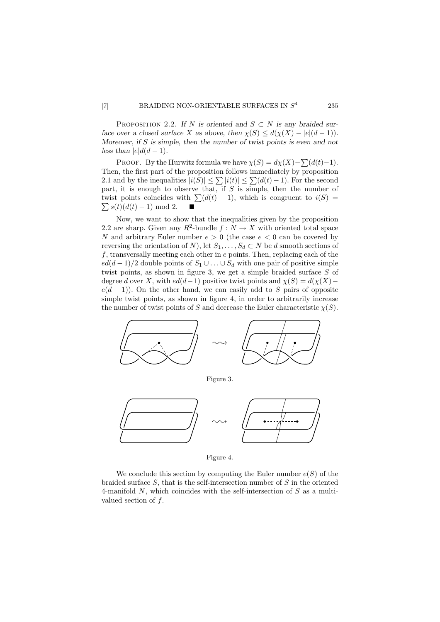PROPOSITION 2.2. If N is oriented and  $S \subset N$  is any braided surface over a closed surface X as above, then  $\chi(S) \leq d(\chi(X) - |e|(d-1)).$ Moreover, if S is simple, then the number of twist points is even and not less than  $|e|d(d-1)$ .

PROOF. By the Hurwitz formula we have  $\chi(S) = d\chi(X) - \sum (d(t)-1)$ . Then, the first part of the proposition follows immediately by proposition 2.1 and by the inequalities  $|i(S)| \leq \sum |i(t)| \leq \sum (d(t) - 1)$ . For the second part, it is enough to observe that, if  $S$  is simple, then the number of twist points coincides with  $\sum (d(t) - 1)$ , which is congruent to  $i(S)$  $\sum s(t)(d(t) - 1) \mod 2.$ 

Now, we want to show that the inequalities given by the proposition 2.2 are sharp. Given any  $R^2$ -bundle  $f: N \to X$  with oriented total space N and arbitrary Euler number  $e > 0$  (the case  $e < 0$  can be covered by reversing the orientation of N), let  $S_1, \ldots, S_d \subset N$  be d smooth sections of  $f$ , transversally meeting each other in  $e$  points. Then, replacing each of the  $ed(d-1)/2$  double points of  $S_1 \cup ... \cup S_d$  with one pair of positive simple twist points, as shown in figure 3, we get a simple braided surface S of degree d over X, with  $ed(d-1)$  positive twist points and  $\chi(S) = d(\chi(X)$  $e(d-1)$ ). On the other hand, we can easily add to S pairs of opposite simple twist points, as shown in figure 4, in order to arbitrarily increase the number of twist points of S and decrease the Euler characteristic  $\chi(S)$ .



Figure 3.



Figure 4.

We conclude this section by computing the Euler number  $e(S)$  of the braided surface  $S$ , that is the self-intersection number of  $S$  in the oriented 4-manifold N, which coincides with the self-intersection of S as a multivalued section of f.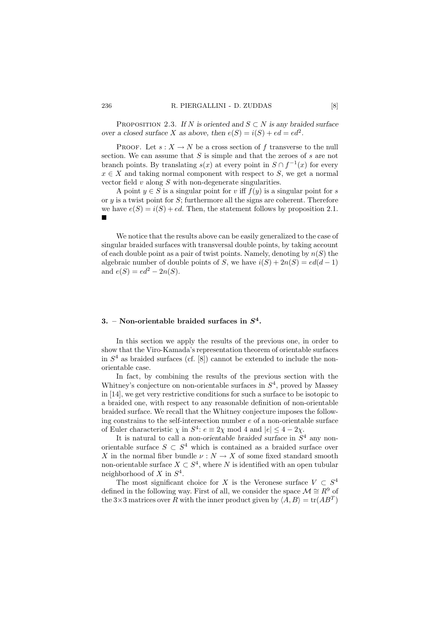PROPOSITION 2.3. If N is oriented and  $S \subset N$  is any braided surface over a closed surface X as above, then  $e(S) = i(S) + ed = ed^2$ .

PROOF. Let  $s: X \to N$  be a cross section of f transverse to the null section. We can assume that  $S$  is simple and that the zeroes of  $s$  are not branch points. By translating  $s(x)$  at every point in  $S \cap f^{-1}(x)$  for every  $x \in X$  and taking normal component with respect to S, we get a normal vector field  $v$  along  $S$  with non-degenerate singularities.

A point  $y \in S$  is a singular point for v iff  $f(y)$  is a singular point for s or  $y$  is a twist point for  $S$ ; furthermore all the signs are coherent. Therefore we have  $e(S) = i(S) + ed$ . Then, the statement follows by proposition 2.1.  $\blacksquare$ 

We notice that the results above can be easily generalized to the case of singular braided surfaces with transversal double points, by taking account of each double point as a pair of twist points. Namely, denoting by  $n(S)$  the algebraic number of double points of S, we have  $i(S) + 2n(S) = ed(d-1)$ and  $e(S) = ed^2 - 2n(S)$ .

## **3. – Non-orientable braided surfaces in** *S***<sup>4</sup>.**

In this section we apply the results of the previous one, in order to show that the Viro-Kamada's representation theorem of orientable surfaces in  $S<sup>4</sup>$  as braided surfaces (cf. [8]) cannot be extended to include the nonorientable case.

In fact, by combining the results of the previous section with the Whitney's conjecture on non-orientable surfaces in  $S<sup>4</sup>$ , proved by Massey in [14], we get very restrictive conditions for such a surface to be isotopic to a braided one, with respect to any reasonable definition of non-orientable braided surface. We recall that the Whitney conjecture imposes the following constrains to the self-intersection number  $e$  of a non-orientable surface of Euler characteristic  $\chi$  in  $S^4$ :  $e \equiv 2\chi \mod 4$  and  $|e| \leq 4 - 2\chi$ .

It is natural to call a non-orientable braided surface in  $S<sup>4</sup>$  any nonorientable surface  $S \subset S^4$  which is contained as a braided surface over  $X$  in the normal fiber bundle  $\nu$  :  $N$   $\rightarrow$   $X$  of some fixed standard smooth non-orientable surface  $X \subset S^4$ , where N is identified with an open tubular neighborhood of X in  $S<sup>4</sup>$ .

The most significant choice for X is the Veronese surface  $V \subset S^4$ defined in the following way. First of all, we consider the space  $\mathcal{M} \cong \mathbb{R}^9$  of the  $3\times 3$  matrices over R with the inner product given by  $\langle A, B \rangle = \text{tr}(AB^T)$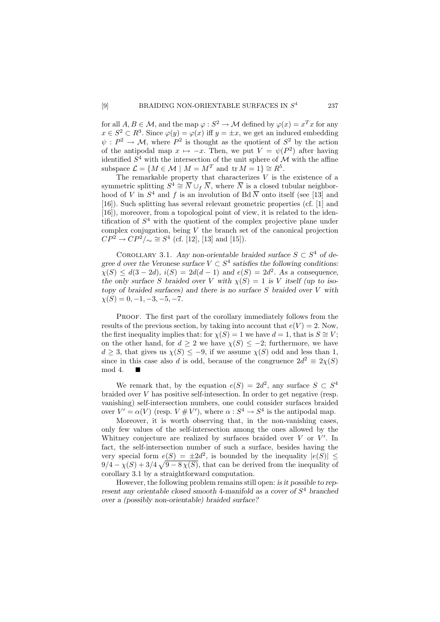for all  $A, B \in \mathcal{M}$ , and the map  $\varphi : S^2 \to \mathcal{M}$  defined by  $\varphi(x) = x^T x$  for any  $x \in S^2 \subset R^3$ . Since  $\varphi(y) = \varphi(x)$  iff  $y = \pm x$ , we get an induced embedding  $\psi: P^2 \to \mathcal{M}$ , where  $P^2$  is thought as the quotient of  $S^2$  by the action of the antipodal map  $x \mapsto -x$ . Then, we put  $V = \psi(P^2)$  after having identified  $S^4$  with the intersection of the unit sphere of  $\mathcal M$  with the affine subspace  $\mathcal{L} = \{M \in \mathcal{M} \mid M = M^T \text{ and } \text{tr } M = 1\} \cong R^5.$ 

The remarkable property that characterizes  $\tilde{V}$  is the existence of a symmetric splitting  $S^4 \cong \overline{N} \cup_f \overline{N}$ , where  $\overline{N}$  is a closed tubular neighborhood of V in  $S^4$  and f is an involution of Bd  $\overline{N}$  onto itself (see [13] and [16]). Such splitting has several relevant geometric properties (cf. [1] and [16]), moreover, from a topological point of view, it is related to the identification of  $S<sup>4</sup>$  with the quotient of the complex projective plane under complex conjugation, being  $V$  the branch set of the canonical projection  $CP^2 \rightarrow CP^2/\sim \cong S^4$  (cf. [12], [13] and [15]).

COROLLARY 3.1. Any non-orientable braided surface  $S \subset S^4$  of degree d over the Veronese surface  $V \subset S^4$  satisfies the following conditions:  $\chi(S) \leq d(3 - 2d), i(S) = 2d(d - 1)$  and  $e(S) = 2d^2$ . As a consequence, the only surface S braided over V with  $\chi(S)=1$  is V itself (up to isotopy of braided surfaces) and there is no surface S braided over V with  $\chi(S)=0, -1, -3, -5, -7.$ 

PROOF. The first part of the corollary immediately follows from the results of the previous section, by taking into account that  $e(V) = 2$ . Now, the first inequality implies that: for  $\chi(S) = 1$  we have  $d = 1$ , that is  $S \cong V$ ; on the other hand, for  $d \geq 2$  we have  $\chi(S) \leq -2$ ; furthermore, we have  $d \geq 3$ , that gives us  $\chi(S) \leq -9$ , if we assume  $\chi(S)$  odd and less than 1, since in this case also d is odd, because of the congruence  $2d^2 \equiv 2\chi(S)$ <br>mod  $4 \Box$ mod 4.

We remark that, by the equation  $e(S)=2d^2$ , any surface  $S \subset S^4$ braided over V has positive self-intesection. In order to get negative (resp. vanishing) self-intersection numbers, one could consider surfaces braided over  $V' = \alpha(V)$  (resp.  $V \# V'$ ), where  $\alpha : S^4 \to S^4$  is the antipodal map.

Moreover, it is worth observing that, in the non-vanishing cases, only few values of the self-intersection among the ones allowed by the Whitney conjecture are realized by surfaces braided over  $V$  or  $V'$ . In fact, the self-intersection number of such a surface, besides having the very special form  $e(S) = \pm 2d^2$ , is bounded by the inequality  $|e(S)| \le$  $9/4 - \chi(S) + 3/4\sqrt{9 - 8\chi(S)}$ , that can be derived from the inequality of corollary 3.1 by a straightforward computation.

However, the following problem remains still open: is it possible to represent any orientable closed smooth 4-manifold as a cover of  $S<sup>4</sup>$  branched over a (possibly non-orientable) braided surface?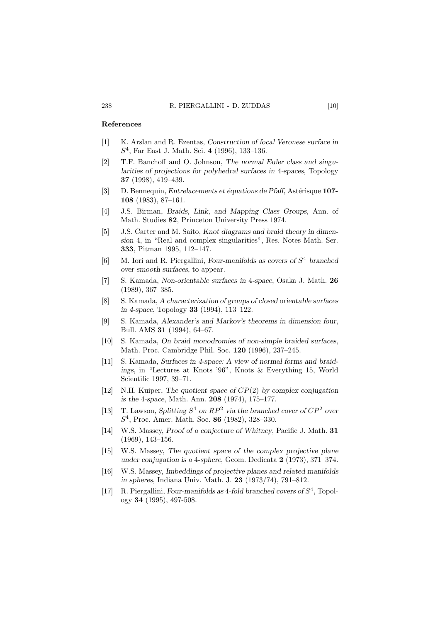## **References**

- [1] K. Arslan and R. Ezentas, Construction of focal Veronese surface in S<sup>4</sup>, Far East J. Math. Sci. **4** (1996), 133–136.
- [2] T.F. Banchoff and O. Johnson, The normal Euler class and singularities of projections for polyhedral surfaces in 4-spaces, Topology **37** (1998), 419–439.
- [3] D. Bennequin, *Entrelacements et équations de Pfaff*, Astérisque **107-108** (1983), 87–161.
- [4] J.S. Birman, Braids, Link, and Mapping Class Groups, Ann. of Math. Studies **82**, Princeton University Press 1974.
- [5] J.S. Carter and M. Saito, Knot diagrams and braid theory in dimension 4, in "Real and complex singularities", Res. Notes Math. Ser. **333**, Pitman 1995, 112–147.
- [6] M. Iori and R. Piergallini, Four-manifolds as covers of  $S<sup>4</sup>$  branched over smooth surfaces, to appear.
- [7] S. Kamada, Non-orientable surfaces in 4-space, Osaka J. Math. **26** (1989), 367–385.
- [8] S. Kamada, A characterization of groups of closed orientable surfaces in 4-space, Topology **33** (1994), 113–122.
- [9] S. Kamada, Alexander's and Markov's theorems in dimension four, Bull. AMS **31** (1994), 64–67.
- [10] S. Kamada, On braid monodromies of non-simple braided surfaces, Math. Proc. Cambridge Phil. Soc. **120** (1996), 237–245.
- [11] S. Kamada, Surfaces in 4-space: A view of normal forms and braidings, in "Lectures at Knots '96", Knots & Everything 15, World Scientific 1997, 39–71.
- [12] N.H. Kuiper, The quotient space of  $CP(2)$  by complex conjugation is the 4-space, Math. Ann. **208** (1974), 175–177.
- [13] T. Lawson, Splitting  $S^4$  on  $RP^2$  via the branched cover of  $CP^2$  over S<sup>4</sup>, Proc. Amer. Math. Soc. **86** (1982), 328–330.
- [14] W.S. Massey, Proof of a conjecture of Whitney, Pacific J. Math. **31** (1969), 143–156.
- [15] W.S. Massey, The quotient space of the complex projective plane under conjugation is a 4-sphere, Geom. Dedicata **2** (1973), 371–374.
- [16] W.S. Massey, Imbeddings of projective planes and related manifolds in spheres, Indiana Univ. Math. J. **23** (1973/74), 791–812.
- [17] R. Piergallini, Four-manifolds as 4-fold branched covers of  $S<sup>4</sup>$ . Topology **34** (1995), 497-508.